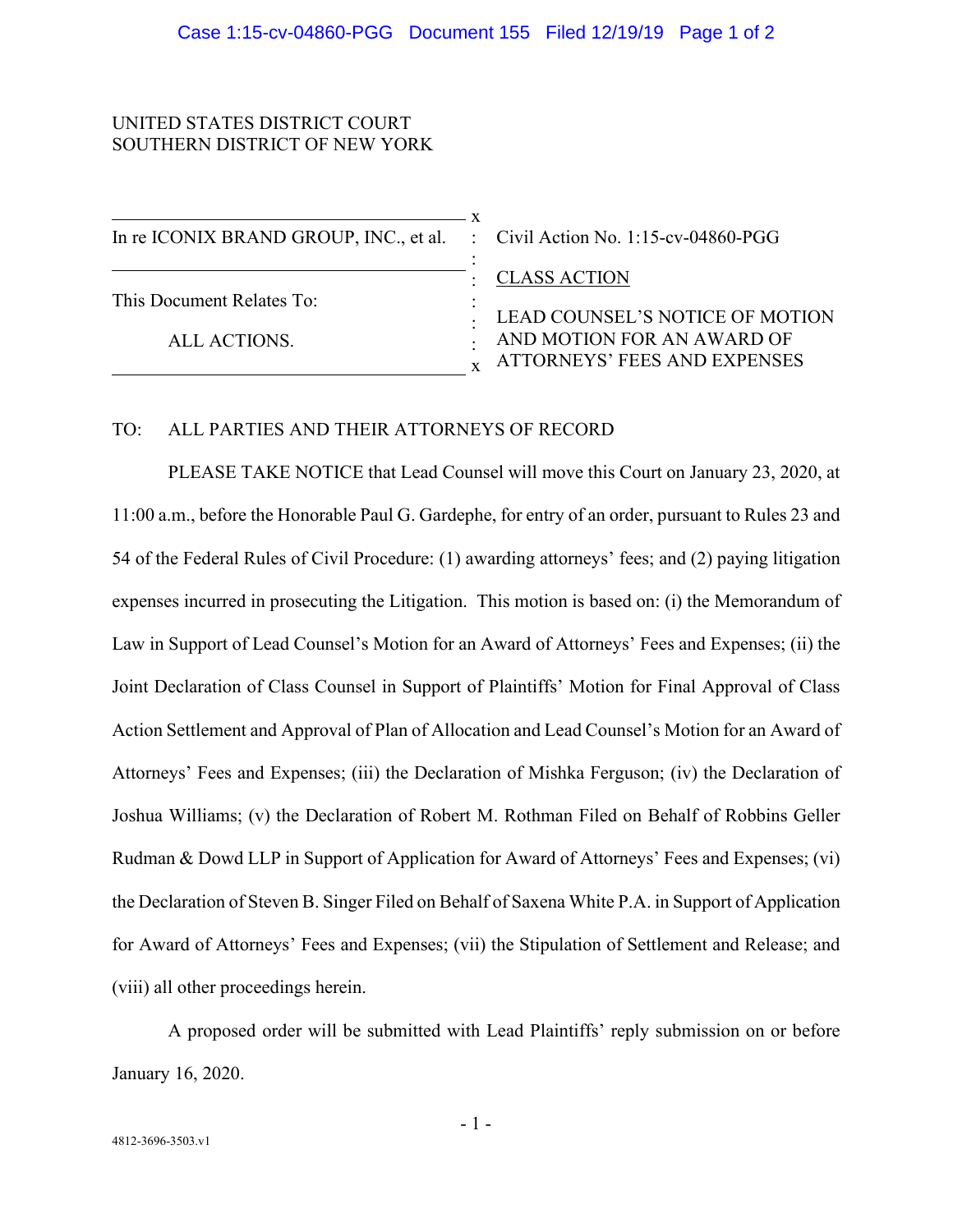## UNITED STATES DISTRICT COURT SOUTHERN DISTRICT OF NEW YORK

| In re ICONIX BRAND GROUP, INC., et al. : Civil Action No. 1:15-cv-04860-PGG |                                                                                                                      |
|-----------------------------------------------------------------------------|----------------------------------------------------------------------------------------------------------------------|
| This Document Relates To:<br>ALL ACTIONS.                                   | <b>CLASS ACTION</b><br>LEAD COUNSEL'S NOTICE OF MOTION<br>AND MOTION FOR AN AWARD OF<br>ATTORNEYS' FEES AND EXPENSES |

## TO: ALL PARTIES AND THEIR ATTORNEYS OF RECORD

PLEASE TAKE NOTICE that Lead Counsel will move this Court on January 23, 2020, at 11:00 a.m., before the Honorable Paul G. Gardephe, for entry of an order, pursuant to Rules 23 and 54 of the Federal Rules of Civil Procedure: (1) awarding attorneys' fees; and (2) paying litigation expenses incurred in prosecuting the Litigation. This motion is based on: (i) the Memorandum of Law in Support of Lead Counsel's Motion for an Award of Attorneys' Fees and Expenses; (ii) the Joint Declaration of Class Counsel in Support of Plaintiffs' Motion for Final Approval of Class Action Settlement and Approval of Plan of Allocation and Lead Counsel's Motion for an Award of Attorneys' Fees and Expenses; (iii) the Declaration of Mishka Ferguson; (iv) the Declaration of Joshua Williams; (v) the Declaration of Robert M. Rothman Filed on Behalf of Robbins Geller Rudman & Dowd LLP in Support of Application for Award of Attorneys' Fees and Expenses; (vi) the Declaration of Steven B. Singer Filed on Behalf of Saxena White P.A. in Support of Application for Award of Attorneys' Fees and Expenses; (vii) the Stipulation of Settlement and Release; and (viii) all other proceedings herein.

A proposed order will be submitted with Lead Plaintiffs' reply submission on or before January 16, 2020.